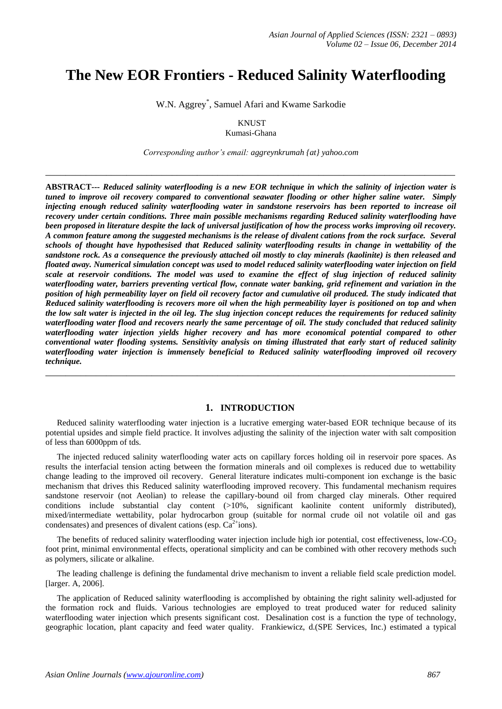# **The New EOR Frontiers - Reduced Salinity Waterflooding**

W.N. Aggrey\* , Samuel Afari and Kwame Sarkodie

**KNUST** 

Kumasi-Ghana

*Corresponding author's email: aggreynkrumah {at} yahoo.com*

**\_\_\_\_\_\_\_\_\_\_\_\_\_\_\_\_\_\_\_\_\_\_\_\_\_\_\_\_\_\_\_\_\_\_\_\_\_\_\_\_\_\_\_\_\_\_\_\_\_\_\_\_\_\_\_\_\_\_\_\_\_\_\_\_\_\_\_\_\_\_\_\_\_\_\_\_\_\_\_\_\_**

**ABSTRACT---** *Reduced salinity waterflooding is a new EOR technique in which the salinity of injection water is tuned to improve oil recovery compared to conventional seawater flooding or other higher saline water. Simply injecting enough reduced salinity waterflooding water in sandstone reservoirs has been reported to increase oil recovery under certain conditions. Three main possible mechanisms regarding Reduced salinity waterflooding have been proposed in literature despite the lack of universal justification of how the process works improving oil recovery. A common feature among the suggested mechanisms is the release of divalent cations from the rock surface. Several schools of thought have hypothesised that Reduced salinity waterflooding results in change in wettability of the sandstone rock. As a consequence the previously attached oil mostly to clay minerals (kaolinite) is then released and floated away. Numerical simulation concept was used to model reduced salinity waterflooding water injection on field scale at reservoir conditions. The model was used to examine the effect of slug injection of reduced salinity waterflooding water, barriers preventing vertical flow, connate water banking, grid refinement and variation in the position of high permeability layer on field oil recovery factor and cumulative oil produced. The study indicated that Reduced salinity waterflooding is recovers more oil when the high permeability layer is positioned on top and when the low salt water is injected in the oil leg. The slug injection concept reduces the requirements for reduced salinity waterflooding water flood and recovers nearly the same percentage of oil. The study concluded that reduced salinity waterflooding water injection yields higher recovery and has more economical potential compared to other conventional water flooding systems. Sensitivity analysis on timing illustrated that early start of reduced salinity waterflooding water injection is immensely beneficial to Reduced salinity waterflooding improved oil recovery technique.*

#### **1. INTRODUCTION**

**\_\_\_\_\_\_\_\_\_\_\_\_\_\_\_\_\_\_\_\_\_\_\_\_\_\_\_\_\_\_\_\_\_\_\_\_\_\_\_\_\_\_\_\_\_\_\_\_\_\_\_\_\_\_\_\_\_\_\_\_\_\_\_\_\_\_\_\_\_\_\_\_\_\_\_\_\_\_\_\_\_**

Reduced salinity waterflooding water injection is a lucrative emerging water-based EOR technique because of its potential upsides and simple field practice. It involves adjusting the salinity of the injection water with salt composition of less than 6000ppm of tds.

The injected reduced salinity waterflooding water acts on capillary forces holding oil in reservoir pore spaces. As results the interfacial tension acting between the formation minerals and oil complexes is reduced due to wettability change leading to the improved oil recovery. General literature indicates multi-component ion exchange is the basic mechanism that drives this Reduced salinity waterflooding improved recovery. This fundamental mechanism requires sandstone reservoir (not Aeolian) to release the capillary-bound oil from charged clay minerals. Other required conditions include substantial clay content (>10%, significant kaolinite content uniformly distributed), mixed/intermediate wettability, polar hydrocarbon group (suitable for normal crude oil not volatile oil and gas condensates) and presences of divalent cations (esp.  $Ca^{2+}$ ions).

The benefits of reduced salinity waterflooding water injection include high ior potential, cost effectiveness, low- $CO<sub>2</sub>$ foot print, minimal environmental effects, operational simplicity and can be combined with other recovery methods such as polymers, silicate or alkaline.

The leading challenge is defining the fundamental drive mechanism to invent a reliable field scale prediction model. [larger. A, 2006].

The application of Reduced salinity waterflooding is accomplished by obtaining the right salinity well-adjusted for the formation rock and fluids. Various technologies are employed to treat produced water for reduced salinity waterflooding water injection which presents significant cost. Desalination cost is a function the type of technology, geographic location, plant capacity and feed water quality. Frankiewicz, d.(SPE Services, Inc.) estimated a typical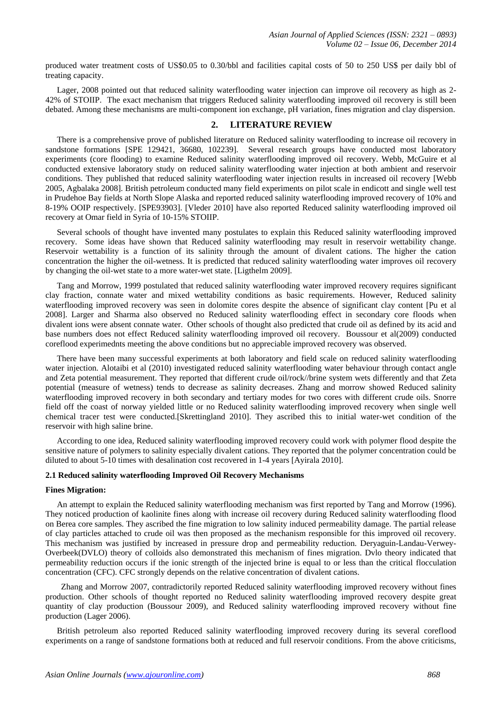produced water treatment costs of US\$0.05 to 0.30/bbl and facilities capital costs of 50 to 250 US\$ per daily bbl of treating capacity.

Lager, 2008 pointed out that reduced salinity waterflooding water injection can improve oil recovery as high as 2- 42% of STOIIP. The exact mechanism that triggers Reduced salinity waterflooding improved oil recovery is still been debated. Among these mechanisms are multi-component ion exchange, pH variation, fines migration and clay dispersion.

# **2. LITERATURE REVIEW**

There is a comprehensive prove of published literature on Reduced salinity waterflooding to increase oil recovery in sandstone formations [SPE 129421, 36680, 102239]. Several research groups have conducted most laboratory experiments (core flooding) to examine Reduced salinity waterflooding improved oil recovery. Webb, McGuire et al conducted extensive laboratory study on reduced salinity waterflooding water injection at both ambient and reservoir conditions. They published that reduced salinity waterflooding water injection results in increased oil recovery [Webb 2005, Agbalaka 2008]. British petroleum conducted many field experiments on pilot scale in endicott and single well test in Prudehoe Bay fields at North Slope Alaska and reported reduced salinity waterflooding improved recovery of 10% and 8-19% OOIP respectively. [SPE93903]. [Vleder 2010] have also reported Reduced salinity waterflooding improved oil recovery at Omar field in Syria of 10-15% STOIIP.

Several schools of thought have invented many postulates to explain this Reduced salinity waterflooding improved recovery. Some ideas have shown that Reduced salinity waterflooding may result in reservoir wettability change. Reservoir wettability is a function of its salinity through the amount of divalent cations. The higher the cation concentration the higher the oil-wetness. It is predicted that reduced salinity waterflooding water improves oil recovery by changing the oil-wet state to a more water-wet state. [Ligthelm 2009].

Tang and Morrow, 1999 postulated that reduced salinity waterflooding water improved recovery requires significant clay fraction, connate water and mixed wettability conditions as basic requirements. However, Reduced salinity waterflooding improved recovery was seen in dolomite cores despite the absence of significant clay content [Pu et al 2008]. Larger and Sharma also observed no Reduced salinity waterflooding effect in secondary core floods when divalent ions were absent connate water. Other schools of thought also predicted that crude oil as defined by its acid and base numbers does not effect Reduced salinity waterflooding improved oil recovery. Boussour et al(2009) conducted coreflood experimednts meeting the above conditions but no appreciable improved recovery was observed.

There have been many successful experiments at both laboratory and field scale on reduced salinity waterflooding water injection. Alotaibi et al (2010) investigated reduced salinity waterflooding water behaviour through contact angle and Zeta potential measurement. They reported that different crude oil/rock//brine system wets differently and that Zeta potential (measure of wetness) tends to decrease as salinity decreases. Zhang and morrow showed Reduced salinity waterflooding improved recovery in both secondary and tertiary modes for two cores with different crude oils. Snorre field off the coast of norway yielded little or no Reduced salinity waterflooding improved recovery when single well chemical tracer test were conducted.[Skrettingland 2010]. They ascribed this to initial water-wet condition of the reservoir with high saline brine.

According to one idea, Reduced salinity waterflooding improved recovery could work with polymer flood despite the sensitive nature of polymers to salinity especially divalent cations. They reported that the polymer concentration could be diluted to about 5-10 times with desalination cost recovered in 1-4 years [Ayirala 2010].

## **2.1 Reduced salinity waterflooding Improved Oil Recovery Mechanisms**

#### **Fines Migration:**

An attempt to explain the Reduced salinity waterflooding mechanism was first reported by Tang and Morrow (1996). They noticed production of kaolinite fines along with increase oil recovery during Reduced salinity waterflooding flood on Berea core samples. They ascribed the fine migration to low salinity induced permeability damage. The partial release of clay particles attached to crude oil was then proposed as the mechanism responsible for this improved oil recovery. This mechanism was justified by increased in pressure drop and permeability reduction. Deryaguin-Landau-Verwey-Overbeek(DVLO) theory of colloids also demonstrated this mechanism of fines migration. Dvlo theory indicated that permeability reduction occurs if the ionic strength of the injected brine is equal to or less than the critical flocculation concentration (CFC). CFC strongly depends on the relative concentration of divalent cations.

 Zhang and Morrow 2007, contradictorily reported Reduced salinity waterflooding improved recovery without fines production. Other schools of thought reported no Reduced salinity waterflooding improved recovery despite great quantity of clay production (Boussour 2009), and Reduced salinity waterflooding improved recovery without fine production (Lager 2006).

British petroleum also reported Reduced salinity waterflooding improved recovery during its several coreflood experiments on a range of sandstone formations both at reduced and full reservoir conditions. From the above criticisms,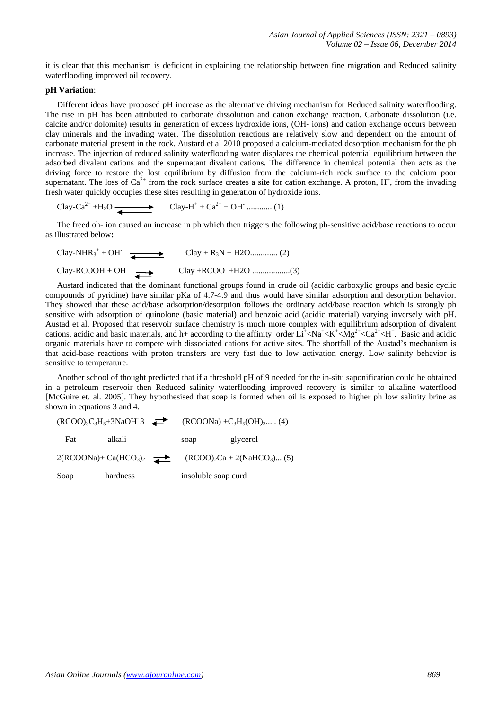it is clear that this mechanism is deficient in explaining the relationship between fine migration and Reduced salinity waterflooding improved oil recovery.

## **pH Variation**:

Different ideas have proposed pH increase as the alternative driving mechanism for Reduced salinity waterflooding. The rise in pH has been attributed to carbonate dissolution and cation exchange reaction. Carbonate dissolution (i.e. calcite and/or dolomite) results in generation of excess hydroxide ions, (OH- ions) and cation exchange occurs between clay minerals and the invading water. The dissolution reactions are relatively slow and dependent on the amount of carbonate material present in the rock. Austard et al 2010 proposed a calcium-mediated desorption mechanism for the ph increase. The injection of reduced salinity waterflooding water displaces the chemical potential equilibrium between the adsorbed divalent cations and the supernatant divalent cations. The difference in chemical potential then acts as the driving force to restore the lost equilibrium by diffusion from the calcium-rich rock surface to the calcium poor supernatant. The loss of  $Ca^{2+}$  from the rock surface creates a site for cation exchange. A proton,  $H^+$ , from the invading fresh water quickly occupies these sites resulting in generation of hydroxide ions.

Clay-Ca<sup>2+</sup> +H<sub>2</sub>O + + Ca2+ + OH- .............(1)

The freed oh- ion caused an increase in ph which then triggers the following ph-sensitive acid/base reactions to occur as illustrated below**:**

Clay-NHR<sup>3</sup> + + OH- Clay + R3N + H2O............. (2) Clay-RCOOH + OH- Clay +RCOO- +H2O ..................(3)

Austard indicated that the dominant functional groups found in crude oil (acidic carboxylic groups and basic cyclic compounds of pyridine) have similar pKa of 4.7-4.9 and thus would have similar adsorption and desorption behavior. They showed that these acid/base adsorption/desorption follows the ordinary acid/base reaction which is strongly ph sensitive with adsorption of quinolone (basic material) and benzoic acid (acidic material) varying inversely with pH. Austad et al. Proposed that reservoir surface chemistry is much more complex with equilibrium adsorption of divalent cations, acidic and basic materials, and h+ according to the affinity order  $Li^{\dagger} < Na^{\dagger} < K^{\dagger} < Mg^{2+} < Ca^{2+} < H^{\dagger}$ . Basic and acidic organic materials have to compete with dissociated cations for active sites. The shortfall of the Austad's mechanism is that acid-base reactions with proton transfers are very fast due to low activation energy. Low salinity behavior is sensitive to temperature.

Another school of thought predicted that if a threshold pH of 9 needed for the in-situ saponification could be obtained in a petroleum reservoir then Reduced salinity waterflooding improved recovery is similar to alkaline waterflood [McGuire et. al. 2005]. They hypothesised that soap is formed when oil is exposed to higher ph low salinity brine as shown in equations 3 and 4.

 $(RCOO)<sub>3</sub>C<sub>3</sub>H<sub>5</sub>+3NaOH<sup>-3</sup>$  $(RCOONa) + C_3H_5(OH)$ <sub>3</sub>..... (4) Fat alkali soap glycerol  $2(RCOONa) + Ca(HCO<sub>3</sub>)<sub>2</sub>$  (RCOO)<sub>2</sub>Ca + 2(NaHCO<sub>3</sub>)... (5) Soap hardness insoluble soap curd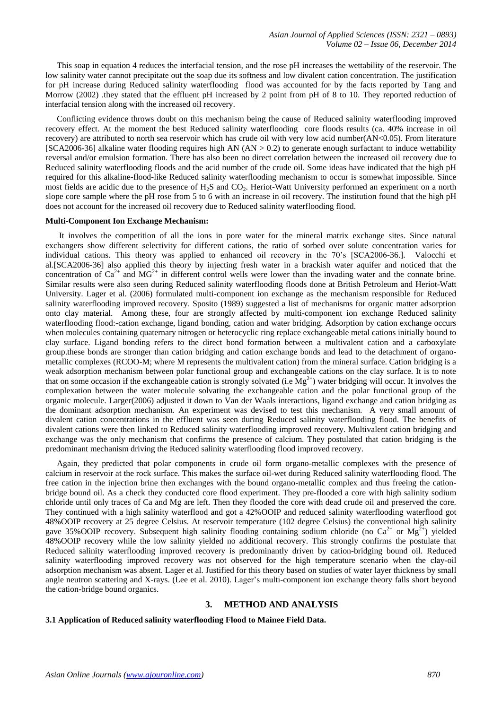This soap in equation 4 reduces the interfacial tension, and the rose pH increases the wettability of the reservoir. The low salinity water cannot precipitate out the soap due its softness and low divalent cation concentration. The justification for pH increase during Reduced salinity waterflooding flood was accounted for by the facts reported by Tang and Morrow (2002) .they stated that the effluent pH increased by 2 point from pH of 8 to 10. They reported reduction of interfacial tension along with the increased oil recovery.

Conflicting evidence throws doubt on this mechanism being the cause of Reduced salinity waterflooding improved recovery effect. At the moment the best Reduced salinity waterflooding core floods results (ca. 40% increase in oil recovery) are attributed to north sea reservoir which has crude oil with very low acid number(AN<0.05). From literature [SCA2006-36] alkaline water flooding requires high AN (AN > 0.2) to generate enough surfactant to induce wettability reversal and/or emulsion formation. There has also been no direct correlation between the increased oil recovery due to Reduced salinity waterflooding floods and the acid number of the crude oil. Some ideas have indicated that the high pH required for this alkaline-flood-like Reduced salinity waterflooding mechanism to occur is somewhat impossible. Since most fields are acidic due to the presence of H<sub>2</sub>S and CO<sub>2</sub>. Heriot-Watt University performed an experiment on a north slope core sample where the pH rose from 5 to 6 with an increase in oil recovery. The institution found that the high pH does not account for the increased oil recovery due to Reduced salinity waterflooding flood.

#### **Multi-Component Ion Exchange Mechanism:**

It involves the competition of all the ions in pore water for the mineral matrix exchange sites. Since natural exchangers show different selectivity for different cations, the ratio of sorbed over solute concentration varies for individual cations. This theory was applied to enhanced oil recovery in the 70's [SCA2006-36.]. Valocchi et al.[SCA2006-36] also applied this theory by injecting fresh water in a brackish water aquifer and noticed that the concentration of  $Ca^{2+}$  and  $MG^{2+}$  in different control wells were lower than the invading water and the connate brine. Similar results were also seen during Reduced salinity waterflooding floods done at British Petroleum and Heriot-Watt University. Lager et al. (2006) formulated multi-component ion exchange as the mechanism responsible for Reduced salinity waterflooding improved recovery. Sposito (1989) suggested a list of mechanisms for organic matter adsorption onto clay material. Among these, four are strongly affected by multi-component ion exchange Reduced salinity waterflooding flood:-cation exchange, ligand bonding, cation and water bridging. Adsorption by cation exchange occurs when molecules containing quaternary nitrogen or heterocyclic ring replace exchangeable metal cations initially bound to clay surface. Ligand bonding refers to the direct bond formation between a multivalent cation and a carboxylate group.these bonds are stronger than cation bridging and cation exchange bonds and lead to the detachment of organometallic complexes (RCOO-M; where M represents the multivalent cation) from the mineral surface. Cation bridging is a weak adsorption mechanism between polar functional group and exchangeable cations on the clay surface. It is to note that on some occasion if the exchangeable cation is strongly solvated (i.e  $Mg^{2+}$ ) water bridging will occur. It involves the complexation between the water molecule solvating the exchangeable cation and the polar functional group of the organic molecule. Larger(2006) adjusted it down to Van der Waals interactions, ligand exchange and cation bridging as the dominant adsorption mechanism. An experiment was devised to test this mechanism. A very small amount of divalent cation concentrations in the effluent was seen during Reduced salinity waterflooding flood. The benefits of divalent cations were then linked to Reduced salinity waterflooding improved recovery. Multivalent cation bridging and exchange was the only mechanism that confirms the presence of calcium. They postulated that cation bridging is the predominant mechanism driving the Reduced salinity waterflooding flood improved recovery.

Again, they predicted that polar components in crude oil form organo-metallic complexes with the presence of calcium in reservoir at the rock surface. This makes the surface oil-wet during Reduced salinity waterflooding flood. The free cation in the injection brine then exchanges with the bound organo-metallic complex and thus freeing the cationbridge bound oil. As a check they conducted core flood experiment. They pre-flooded a core with high salinity sodium chloride until only traces of Ca and Mg are left. Then they flooded the core with dead crude oil and preserved the core. They continued with a high salinity waterflood and got a 42%OOIP and reduced salinity waterflooding waterflood got 48%OOIP recovery at 25 degree Celsius. At reservoir temperature (102 degree Celsius) the conventional high salinity gave 35% OOIP recovery. Subsequent high salinity flooding containing sodium chloride (no Ca<sup>2+</sup> or Mg<sup>2+</sup>) yielded 48%OOIP recovery while the low salinity yielded no additional recovery. This strongly confirms the postulate that Reduced salinity waterflooding improved recovery is predominantly driven by cation-bridging bound oil. Reduced salinity waterflooding improved recovery was not observed for the high temperature scenario when the clay-oil adsorption mechanism was absent. Lager et al. Justified for this theory based on studies of water layer thickness by small angle neutron scattering and X-rays. (Lee et al. 2010). Lager's multi-component ion exchange theory falls short beyond the cation-bridge bound organics.

#### **3. METHOD AND ANALYSIS**

#### **3.1 Application of Reduced salinity waterflooding Flood to Mainee Field Data.**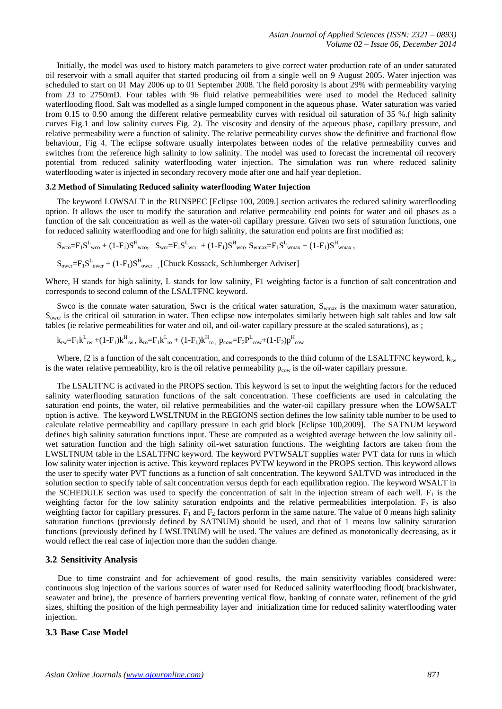Initially, the model was used to history match parameters to give correct water production rate of an under saturated oil reservoir with a small aquifer that started producing oil from a single well on 9 August 2005. Water injection was scheduled to start on 01 May 2006 up to 01 September 2008. The field porosity is about 29% with permeability varying from 23 to 2750mD. Four tables with 96 fluid relative permeabilities were used to model the Reduced salinity waterflooding flood. Salt was modelled as a single lumped component in the aqueous phase. Water saturation was varied from 0.15 to 0.90 among the different relative permeability curves with residual oil saturation of 35 %.( high salinity curves Fig.1 and low salinity curves Fig. 2). The viscosity and density of the aqueous phase, capillary pressure, and relative permeability were a function of salinity. The relative permeability curves show the definitive and fractional flow behaviour, Fig 4. The eclipse software usually interpolates between nodes of the relative permeability curves and switches from the reference high salinity to low salinity. The model was used to forecast the incremental oil recovery potential from reduced salinity waterflooding water injection. The simulation was run where reduced salinity waterflooding water is injected in secondary recovery mode after one and half year depletion.

#### **3.2 Method of Simulating Reduced salinity waterflooding Water Injection**

The keyword LOWSALT in the RUNSPEC [Eclipse 100, 2009.] section activates the reduced salinity waterflooding option. It allows the user to modify the saturation and relative permeability end points for water and oil phases as a function of the salt concentration as well as the water-oil capillary pressure. Given two sets of saturation functions, one for reduced salinity waterflooding and one for high salinity, the saturation end points are first modified as:

 $S_{wco} = F_1 S_{wco}^L + (1 - F_1) S_{wco}^H$ ,  $S_{wcr} = F_1 S_{wcr}^L + (1 - F_1) S_{wcr}^H$ ,  $S_{wmax} = F_1 S_{wmax}^L + (1 - F_1) S_{wmax}^H$ 

 $S_{\text{over}} = F_1 S_{\text{over}}^L + (1 - F_1) S_{\text{over}}^H$  [Chuck Kossack, Schlumberger Adviser]

Where, H stands for high salinity, L stands for low salinity, F1 weighting factor is a function of salt concentration and corresponds to second column of the LSALTFNC keyword.

Swco is the connate water saturation, Swcr is the critical water saturation,  $S_{\text{wmax}}$  is the maximum water saturation,  $S<sub>over</sub>$  is the critical oil saturation in water. Then eclipse now interpolates similarly between high salt tables and low salt tables (ie relative permeabilities for water and oil, and oil-water capillary pressure at the scaled saturations), as ;

$$
k_{rw} = F_1 k_{rw}^L + (1 - F_1) k_{rw}^H, k_{ro} = F_1 k_{ro}^L + (1 - F_1) k_{ro}^H, p_{cow} = F_2 P_{cow}^L + (1 - F_2) p_{cov}^H
$$

Where, f2 is a function of the salt concentration, and corresponds to the third column of the LSALTFNC keyword,  $k_{rw}$ is the water relative permeability, kro is the oil relative permeability  $p_{\text{row}}$  is the oil-water capillary pressure.

The LSALTFNC is activated in the PROPS section. This keyword is set to input the weighting factors for the reduced salinity waterflooding saturation functions of the salt concentration. These coefficients are used in calculating the saturation end points, the water, oil relative permeabilities and the water-oil capillary pressure when the LOWSALT option is active. The keyword LWSLTNUM in the REGIONS section defines the low salinity table number to be used to calculate relative permeability and capillary pressure in each grid block [Eclipse 100,2009]. The SATNUM keyword defines high salinity saturation functions input. These are computed as a weighted average between the low salinity oilwet saturation function and the high salinity oil-wet saturation functions. The weighting factors are taken from the LWSLTNUM table in the LSALTFNC keyword. The keyword PVTWSALT supplies water PVT data for runs in which low salinity water injection is active. This keyword replaces PVTW keyword in the PROPS section. This keyword allows the user to specify water PVT functions as a function of salt concentration. The keyword SALTVD was introduced in the solution section to specify table of salt concentration versus depth for each equilibration region. The keyword WSALT in the SCHEDULE section was used to specify the concentration of salt in the injection stream of each well.  $F_1$  is the weighting factor for the low salinity saturation endpoints and the relative permeabilities interpolation.  $F_2$  is also weighting factor for capillary pressures.  $F_1$  and  $F_2$  factors perform in the same nature. The value of 0 means high salinity saturation functions (previously defined by SATNUM) should be used, and that of 1 means low salinity saturation functions (previously defined by LWSLTNUM) will be used. The values are defined as monotonically decreasing, as it would reflect the real case of injection more than the sudden change.

#### **3.2 Sensitivity Analysis**

Due to time constraint and for achievement of good results, the main sensitivity variables considered were: continuous slug injection of the various sources of water used for Reduced salinity waterflooding flood( brackishwater, seawater and brine), the presence of barriers preventing vertical flow, banking of connate water, refinement of the grid sizes, shifting the position of the high permeability layer and initialization time for reduced salinity waterflooding water injection.

## **3.3 Base Case Model**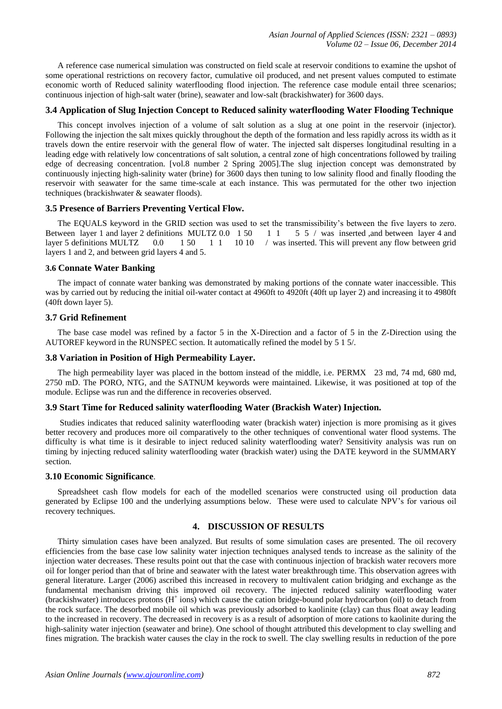A reference case numerical simulation was constructed on field scale at reservoir conditions to examine the upshot of some operational restrictions on recovery factor, cumulative oil produced, and net present values computed to estimate economic worth of Reduced salinity waterflooding flood injection. The reference case module entail three scenarios; continuous injection of high-salt water (brine), seawater and low-salt (brackishwater) for 3600 days.

# **3.4 Application of Slug Injection Concept to Reduced salinity waterflooding Water Flooding Technique**

This concept involves injection of a volume of salt solution as a slug at one point in the reservoir (injector). Following the injection the salt mixes quickly throughout the depth of the formation and less rapidly across its width as it travels down the entire reservoir with the general flow of water. The injected salt disperses longitudinal resulting in a leading edge with relatively low concentrations of salt solution, a central zone of high concentrations followed by trailing edge of decreasing concentration. [vol.8 number 2 Spring 2005].The slug injection concept was demonstrated by continuously injecting high-salinity water (brine) for 3600 days then tuning to low salinity flood and finally flooding the reservoir with seawater for the same time-scale at each instance. This was permutated for the other two injection techniques (brackishwater & seawater floods).

# **3.5 Presence of Barriers Preventing Vertical Flow.**

The EQUALS keyword in the GRID section was used to set the transmissibility's between the five layers to zero. Between layer 1 and layer 2 definitions MULTZ 0.0 1 50 1 1 5 5 / was inserted ,and between layer 4 and layer 5 definitions MULTZ 0.0 1 50 1 1 10 10 / was inserted. This will prevent any flow between grid layers 1 and 2, and between grid layers 4 and 5.

# **3.6 Connate Water Banking**

The impact of connate water banking was demonstrated by making portions of the connate water inaccessible. This was by carried out by reducing the initial oil-water contact at 4960ft to 4920ft (40ft up layer 2) and increasing it to 4980ft (40ft down layer 5).

# **3.7 Grid Refinement**

The base case model was refined by a factor 5 in the X-Direction and a factor of 5 in the Z-Direction using the AUTOREF keyword in the RUNSPEC section. It automatically refined the model by 5 1 5/.

# **3.8 Variation in Position of High Permeability Layer.**

The high permeability layer was placed in the bottom instead of the middle, i.e. PERMX 23 md, 74 md, 680 md, 2750 mD. The PORO, NTG, and the SATNUM keywords were maintained. Likewise, it was positioned at top of the module. Eclipse was run and the difference in recoveries observed.

# **3.9 Start Time for Reduced salinity waterflooding Water (Brackish Water) Injection.**

Studies indicates that reduced salinity waterflooding water (brackish water) injection is more promising as it gives better recovery and produces more oil comparatively to the other techniques of conventional water flood systems. The difficulty is what time is it desirable to inject reduced salinity waterflooding water? Sensitivity analysis was run on timing by injecting reduced salinity waterflooding water (brackish water) using the DATE keyword in the SUMMARY section.

# **3.10 Economic Significance**.

Spreadsheet cash flow models for each of the modelled scenarios were constructed using oil production data generated by Eclipse 100 and the underlying assumptions below. These were used to calculate NPV's for various oil recovery techniques.

# **4. DISCUSSION OF RESULTS**

Thirty simulation cases have been analyzed. But results of some simulation cases are presented. The oil recovery efficiencies from the base case low salinity water injection techniques analysed tends to increase as the salinity of the injection water decreases. These results point out that the case with continuous injection of brackish water recovers more oil for longer period than that of brine and seawater with the latest water breakthrough time. This observation agrees with general literature. Larger (2006) ascribed this increased in recovery to multivalent cation bridging and exchange as the fundamental mechanism driving this improved oil recovery. The injected reduced salinity waterflooding water  $(brackishwater)$  introduces protons  $(H^+$  ions) which cause the cation bridge-bound polar hydrocarbon (oil) to detach from the rock surface. The desorbed mobile oil which was previously adsorbed to kaolinite (clay) can thus float away leading to the increased in recovery. The decreased in recovery is as a result of adsorption of more cations to kaolinite during the high-salinity water injection (seawater and brine). One school of thought attributed this development to clay swelling and fines migration. The brackish water causes the clay in the rock to swell. The clay swelling results in reduction of the pore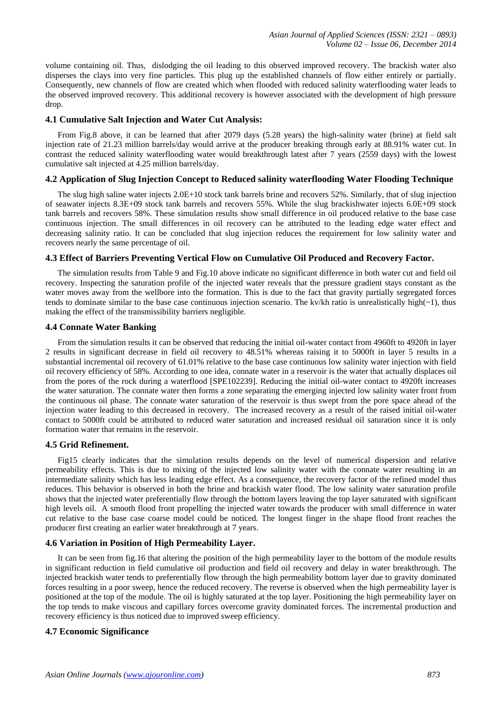volume containing oil. Thus, dislodging the oil leading to this observed improved recovery. The brackish water also disperses the clays into very fine particles. This plug up the established channels of flow either entirely or partially. Consequently, new channels of flow are created which when flooded with reduced salinity waterflooding water leads to the observed improved recovery. This additional recovery is however associated with the development of high pressure drop.

## **4.1 Cumulative Salt Injection and Water Cut Analysis:**

From Fig.8 above, it can be learned that after 2079 days (5.28 years) the high-salinity water (brine) at field salt injection rate of 21.23 million barrels/day would arrive at the producer breaking through early at 88.91% water cut. In contrast the reduced salinity waterflooding water would breakthrough latest after 7 years (2559 days) with the lowest cumulative salt injected at 4.25 million barrels/day.

# **4.2 Application of Slug Injection Concept to Reduced salinity waterflooding Water Flooding Technique**

The slug high saline water injects 2.0E+10 stock tank barrels brine and recovers 52%. Similarly, that of slug injection of seawater injects 8.3E+09 stock tank barrels and recovers 55%. While the slug brackishwater injects 6.0E+09 stock tank barrels and recovers 58%. These simulation results show small difference in oil produced relative to the base case continuous injection. The small differences in oil recovery can be attributed to the leading edge water effect and decreasing salinity ratio. It can be concluded that slug injection reduces the requirement for low salinity water and recovers nearly the same percentage of oil.

# **4.3 Effect of Barriers Preventing Vertical Flow on Cumulative Oil Produced and Recovery Factor.**

The simulation results from Table 9 and Fig.10 above indicate no significant difference in both water cut and field oil recovery. Inspecting the saturation profile of the injected water reveals that the pressure gradient stays constant as the water moves away from the wellbore into the formation. This is due to the fact that gravity partially segregated forces tends to dominate similar to the base case continuous injection scenario. The kv/kh ratio is unrealistically high( $\sim$ 1), thus making the effect of the transmissibility barriers negligible.

# **4.4 Connate Water Banking**

From the simulation results it can be observed that reducing the initial oil-water contact from 4960ft to 4920ft in layer 2 results in significant decrease in field oil recovery to 48.51% whereas raising it to 5000ft in layer 5 results in a substantial incremental oil recovery of 61.01% relative to the base case continuous low salinity water injection with field oil recovery efficiency of 58%. According to one idea, connate water in a reservoir is the water that actually displaces oil from the pores of the rock during a waterflood [SPE102239]. Reducing the initial oil-water contact to 4920ft increases the water saturation. The connate water then forms a zone separating the emerging injected low salinity water front from the continuous oil phase. The connate water saturation of the reservoir is thus swept from the pore space ahead of the injection water leading to this decreased in recovery. The increased recovery as a result of the raised initial oil-water contact to 5000ft could be attributed to reduced water saturation and increased residual oil saturation since it is only formation water that remains in the reservoir.

# **4.5 Grid Refinement.**

Fig15 clearly indicates that the simulation results depends on the level of numerical dispersion and relative permeability effects. This is due to mixing of the injected low salinity water with the connate water resulting in an intermediate salinity which has less leading edge effect. As a consequence, the recovery factor of the refined model thus reduces. This behavior is observed in both the brine and brackish water flood. The low salinity water saturation profile shows that the injected water preferentially flow through the bottom layers leaving the top layer saturated with significant high levels oil. A smooth flood front propelling the injected water towards the producer with small difference in water cut relative to the base case coarse model could be noticed. The longest finger in the shape flood front reaches the producer first creating an earlier water breakthrough at 7 years.

# **4.6 Variation in Position of High Permeability Layer.**

It can be seen from fig.16 that altering the position of the high permeability layer to the bottom of the module results in significant reduction in field cumulative oil production and field oil recovery and delay in water breakthrough. The injected brackish water tends to preferentially flow through the high permeability bottom layer due to gravity dominated forces resulting in a poor sweep, hence the reduced recovery. The reverse is observed when the high permeability layer is positioned at the top of the module. The oil is highly saturated at the top layer. Positioning the high permeability layer on the top tends to make viscous and capillary forces overcome gravity dominated forces. The incremental production and recovery efficiency is thus noticed due to improved sweep efficiency.

# **4.7 Economic Significance**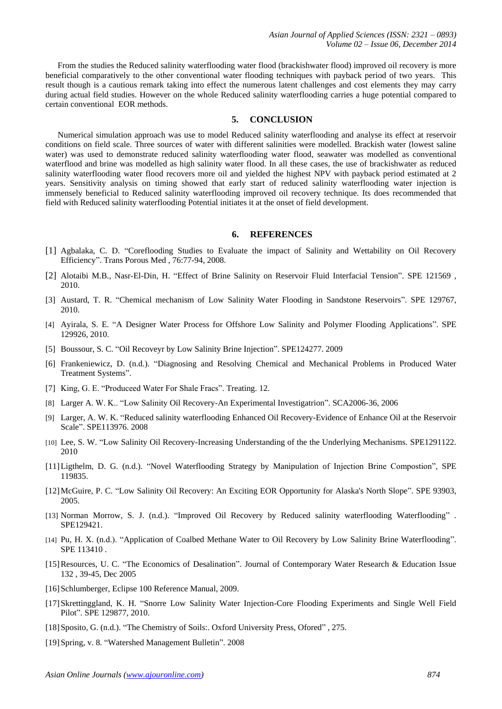From the studies the Reduced salinity waterflooding water flood (brackishwater flood) improved oil recovery is more beneficial comparatively to the other conventional water flooding techniques with payback period of two years. This result though is a cautious remark taking into effect the numerous latent challenges and cost elements they may carry during actual field studies. However on the whole Reduced salinity waterflooding carries a huge potential compared to certain conventional EOR methods.

## **5. CONCLUSION**

Numerical simulation approach was use to model Reduced salinity waterflooding and analyse its effect at reservoir conditions on field scale. Three sources of water with different salinities were modelled. Brackish water (lowest saline water) was used to demonstrate reduced salinity waterflooding water flood, seawater was modelled as conventional waterflood and brine was modelled as high salinity water flood. In all these cases, the use of brackishwater as reduced salinity waterflooding water flood recovers more oil and yielded the highest NPV with payback period estimated at 2 years. Sensitivity analysis on timing showed that early start of reduced salinity waterflooding water injection is immensely beneficial to Reduced salinity waterflooding improved oil recovery technique. Its does recommended that field with Reduced salinity waterflooding Potential initiates it at the onset of field development.

# **6. REFERENCES**

- [1] Agbalaka, C. D. "Coreflooding Studies to Evaluate the impact of Salinity and Wettability on Oil Recovery Efficiency". Trans Porous Med , 76:77-94, 2008.
- [2] Alotaibi M.B., Nasr-El-Din, H. "Effect of Brine Salinity on Reservoir Fluid Interfacial Tension". SPE 121569 , 2010.
- [3] Austard, T. R. "Chemical mechanism of Low Salinity Water Flooding in Sandstone Reservoirs". SPE 129767, 2010.
- [4] Ayirala, S. E. "A Designer Water Process for Offshore Low Salinity and Polymer Flooding Applications". SPE 129926, 2010.
- [5] Boussour, S. C. "Oil Recoveyr by Low Salinity Brine Injection". SPE124277. 2009
- [6] Frankeniewicz, D. (n.d.). "Diagnosing and Resolving Chemical and Mechanical Problems in Produced Water Treatment Systems".
- [7] King, G. E. "Produceed Water For Shale Fracs". Treating. 12.
- [8] Larger A. W. K.. "Low Salinity Oil Recovery-An Experimental Investigatrion". SCA2006-36, 2006
- [9] Larger, A. W. K. "Reduced salinity waterflooding Enhanced Oil Recovery-Evidence of Enhance Oil at the Reservoir Scale". SPE113976. 2008
- [10] Lee, S. W. "Low Salinity Oil Recovery-Increasing Understanding of the the Underlying Mechanisms. SPE1291122. 2010
- [11]Ligthelm, D. G. (n.d.). "Novel Waterflooding Strategy by Manipulation of Injection Brine Compostion", SPE 119835.
- [12]McGuire, P. C. "Low Salinity Oil Recovery: An Exciting EOR Opportunity for Alaska's North Slope". SPE 93903, 2005.
- [13] Norman Morrow, S. J. (n.d.). "Improved Oil Recovery by Reduced salinity waterflooding Waterflooding" . SPE129421.
- [14] Pu, H. X. (n.d.). "Application of Coalbed Methane Water to Oil Recovery by Low Salinity Brine Waterflooding". SPE 113410 .
- [15]Resources, U. C. "The Economics of Desalination". Journal of Contemporary Water Research & Education Issue 132 , 39-45, Dec 2005
- [16] Schlumberger, Eclipse 100 Reference Manual, 2009.
- [17]Skrettinggland, K. H. "Snorre Low Salinity Water Injection-Core Flooding Experiments and Single Well Field Pilot". SPE 129877, 2010.
- [18]Sposito, G. (n.d.). "The Chemistry of Soils:. Oxford University Press, Ofored" , 275.
- [19]Spring, v. 8. "Watershed Management Bulletin". 2008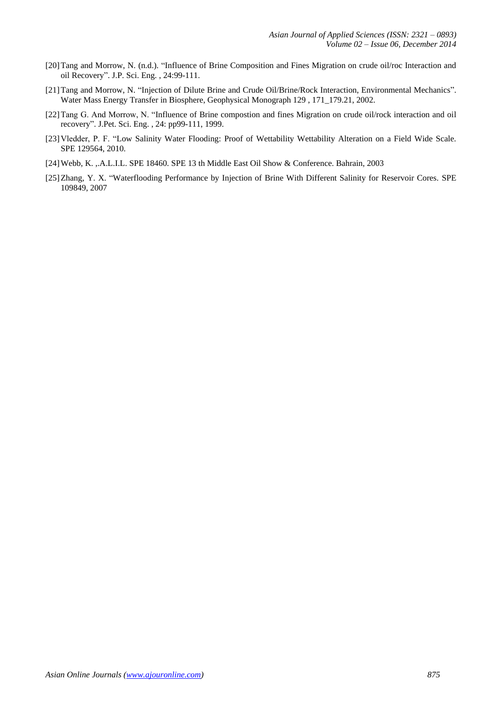- [20]Tang and Morrow, N. (n.d.). "Influence of Brine Composition and Fines Migration on crude oil/roc Interaction and oil Recovery". J.P. Sci. Eng. , 24:99-111.
- [21]Tang and Morrow, N. "Injection of Dilute Brine and Crude Oil/Brine/Rock Interaction, Environmental Mechanics". Water Mass Energy Transfer in Biosphere, Geophysical Monograph 129 , 171\_179.21, 2002.
- [22]Tang G. And Morrow, N. "Influence of Brine compostion and fines Migration on crude oil/rock interaction and oil recovery". J.Pet. Sci. Eng. , 24: pp99-111, 1999.
- [23]Vledder, P. F. "Low Salinity Water Flooding: Proof of Wettability Wettability Alteration on a Field Wide Scale. SPE 129564, 2010.
- [24]Webb, K. ,.A.L.I.L. SPE 18460. SPE 13 th Middle East Oil Show & Conference. Bahrain, 2003
- [25]Zhang, Y. X. "Waterflooding Performance by Injection of Brine With Different Salinity for Reservoir Cores. SPE 109849, 2007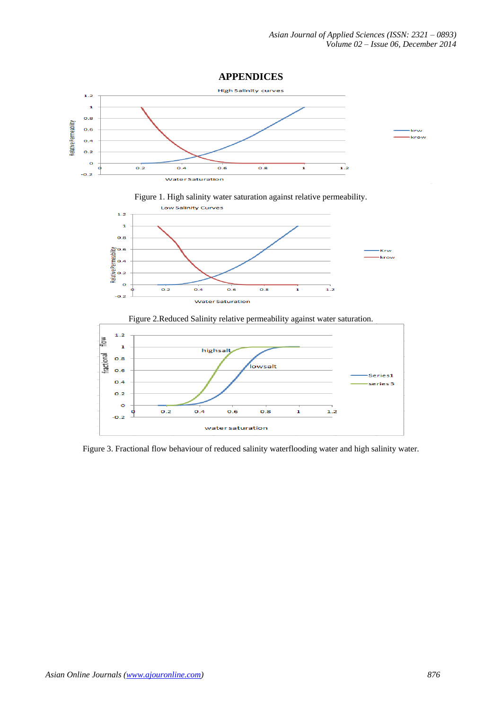







Figure 3. Fractional flow behaviour of reduced salinity waterflooding water and high salinity water.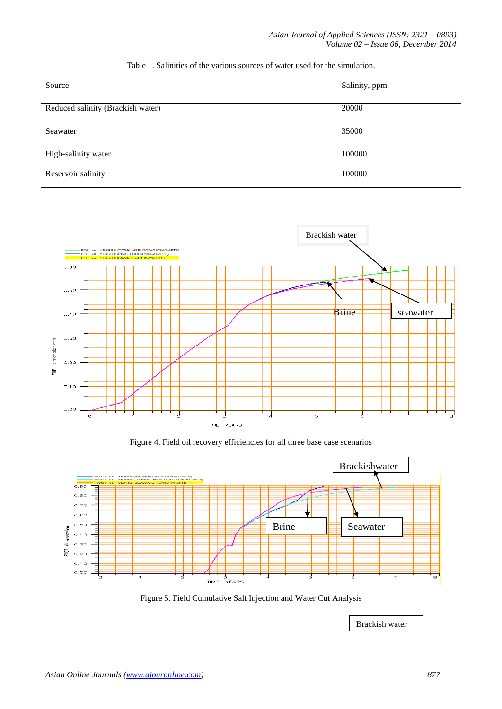| Source                            | Salinity, ppm |
|-----------------------------------|---------------|
|                                   |               |
| Reduced salinity (Brackish water) | 20000         |
|                                   |               |
| Seawater                          | 35000         |
|                                   |               |
| High-salinity water               | 100000        |
|                                   |               |
| Reservoir salinity                | 100000        |
|                                   |               |

# Table 1. Salinities of the various sources of water used for the simulation.



Figure 4. Field oil recovery efficiencies for all three base case scenarios



Figure 5. Field Cumulative Salt Injection and Water Cut Analysis

Brackish water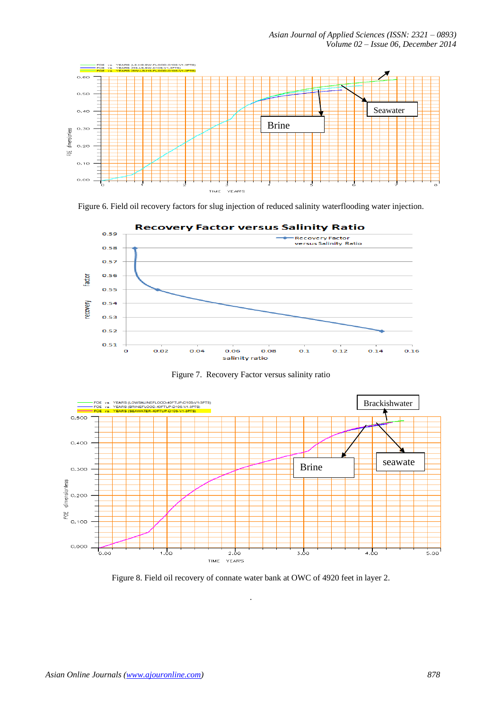*Asian Journal of Applied Sciences (ISSN: 2321 – 0893) Volume 02 – Issue 06, December 2014*



Figure 6. Field oil recovery factors for slug injection of reduced salinity waterflooding water injection.



Figure 7. Recovery Factor versus salinity ratio



Figure 8. Field oil recovery of connate water bank at OWC of 4920 feet in layer 2.

.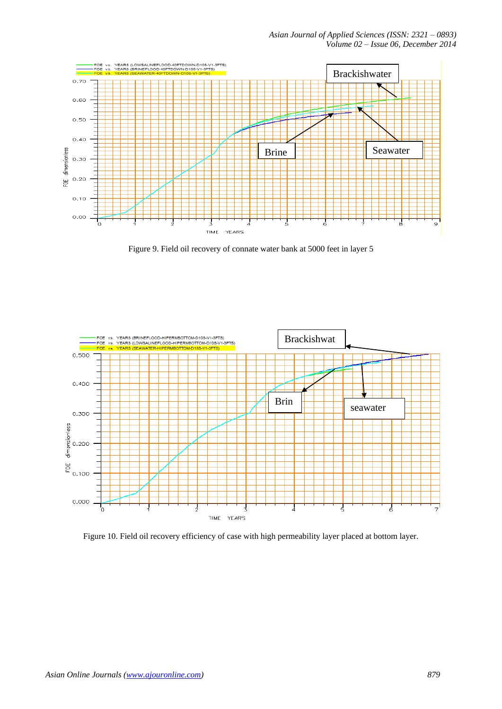*Asian Journal of Applied Sciences (ISSN: 2321 – 0893) Volume 02 – Issue 06, December 2014*



Figure 9. Field oil recovery of connate water bank at 5000 feet in layer 5



Figure 10. Field oil recovery efficiency of case with high permeability layer placed at bottom layer.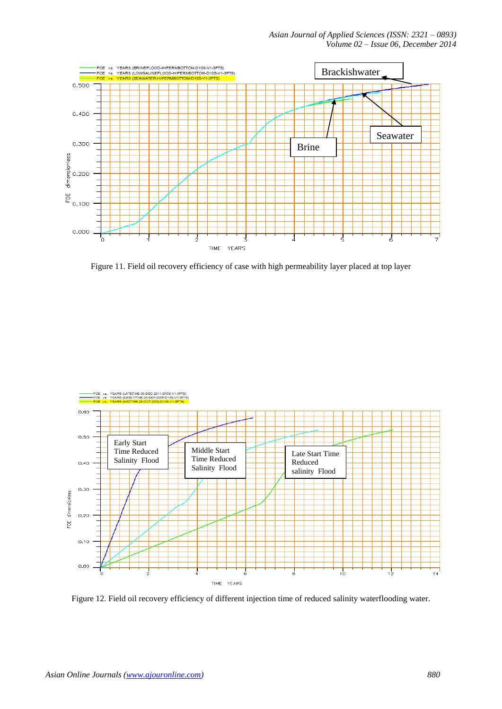*Asian Journal of Applied Sciences (ISSN: 2321 – 0893) Volume 02 – Issue 06, December 2014*



Figure 11. Field oil recovery efficiency of case with high permeability layer placed at top layer



Figure 12. Field oil recovery efficiency of different injection time of reduced salinity waterflooding water.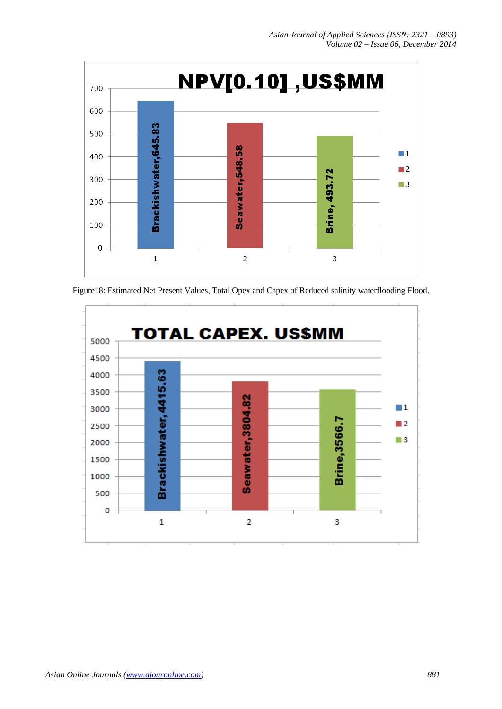